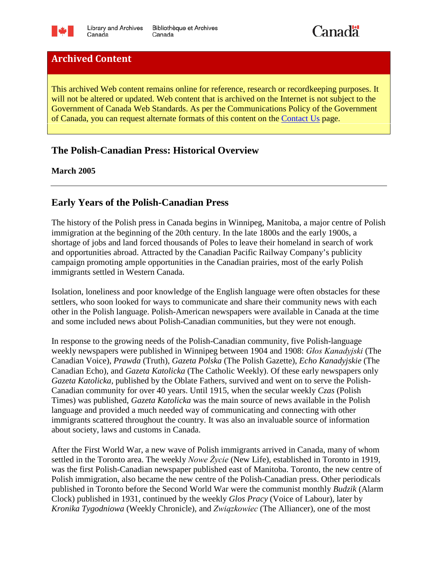



# **Archived Content**

This archived Web content remains online for reference, research or recordkeeping purposes. It will not be altered or updated. Web content that is archived on the Internet is not subject to the Government of Canada Web Standards. As per the Communications Policy of the Government of Canada, you can request alternate formats of this content on the [Contact Us](http://www.bac-lac.gc.ca/eng/contact-us/Pages/contact-us.aspx) page.

## **The Polish-Canadian Press: Historical Overview**

**March 2005**

#### **Early Years of the Polish-Canadian Press**

The history of the Polish press in Canada begins in Winnipeg, Manitoba, a major centre of Polish immigration at the beginning of the 20th century. In the late 1800s and the early 1900s, a shortage of jobs and land forced thousands of Poles to leave their homeland in search of work and opportunities abroad. Attracted by the Canadian Pacific Railway Company's publicity campaign promoting ample opportunities in the Canadian prairies, most of the early Polish immigrants settled in Western Canada.

Isolation, loneliness and poor knowledge of the English language were often obstacles for these settlers, who soon looked for ways to communicate and share their community news with each other in the Polish language. Polish-American newspapers were available in Canada at the time and some included news about Polish-Canadian communities, but they were not enough.

In response to the growing needs of the Polish-Canadian community, five Polish-language weekly newspapers were published in Winnipeg between 1904 and 1908: *Głos Kanadyjski* (The Canadian Voice), *Prawda* (Truth), *Gazeta Polska* (The Polish Gazette), *Echo Kanadyjskie* (The Canadian Echo), and *Gazeta Katolicka* (The Catholic Weekly). Of these early newspapers only *Gazeta Katolicka*, published by the Oblate Fathers, survived and went on to serve the Polish-Canadian community for over 40 years. Until 1915, when the secular weekly *Czas* (Polish Times) was published, *Gazeta Katolicka* was the main source of news available in the Polish language and provided a much needed way of communicating and connecting with other immigrants scattered throughout the country. It was also an invaluable source of information about society, laws and customs in Canada.

After the First World War, a new wave of Polish immigrants arrived in Canada, many of whom settled in the Toronto area. The weekly *Nowe Życie* (New Life), established in Toronto in 1919, was the first Polish-Canadian newspaper published east of Manitoba. Toronto, the new centre of Polish immigration, also became the new centre of the Polish-Canadian press. Other periodicals published in Toronto before the Second World War were the communist monthly *Budzik* (Alarm Clock) published in 1931, continued by the weekly *Glos Pracy* (Voice of Labour), later by *Kronika Tygodniowa* (Weekly Chronicle), and *Związkowiec* (The Alliancer), one of the most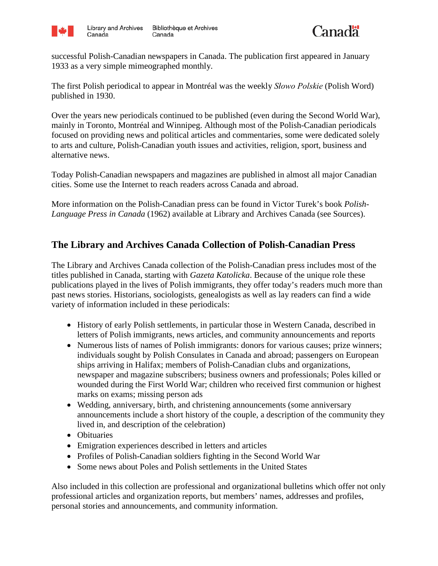



successful Polish-Canadian newspapers in Canada. The publication first appeared in January 1933 as a very simple mimeographed monthly.

The first Polish periodical to appear in Montréal was the weekly *Słowo Polskie* (Polish Word) published in 1930.

Over the years new periodicals continued to be published (even during the Second World War), mainly in Toronto, Montréal and Winnipeg. Although most of the Polish-Canadian periodicals focused on providing news and political articles and commentaries, some were dedicated solely to arts and culture, Polish-Canadian youth issues and activities, religion, sport, business and alternative news.

Today Polish-Canadian newspapers and magazines are published in almost all major Canadian cities. Some use the Internet to reach readers across Canada and abroad.

More information on the Polish-Canadian press can be found in Victor Turek's book *Polish-Language Press in Canada* (1962) available at Library and Archives Canada (see Sources).

# **The Library and Archives Canada Collection of Polish-Canadian Press**

The Library and Archives Canada collection of the Polish-Canadian press includes most of the titles published in Canada, starting with *Gazeta Katolicka*. Because of the unique role these publications played in the lives of Polish immigrants, they offer today's readers much more than past news stories. Historians, sociologists, genealogists as well as lay readers can find a wide variety of information included in these periodicals:

- History of early Polish settlements, in particular those in Western Canada, described in letters of Polish immigrants, news articles, and community announcements and reports
- Numerous lists of names of Polish immigrants: donors for various causes; prize winners; individuals sought by Polish Consulates in Canada and abroad; passengers on European ships arriving in Halifax; members of Polish-Canadian clubs and organizations, newspaper and magazine subscribers; business owners and professionals; Poles killed or wounded during the First World War; children who received first communion or highest marks on exams; missing person ads
- Wedding, anniversary, birth, and christening announcements (some anniversary announcements include a short history of the couple, a description of the community they lived in, and description of the celebration)
- Obituaries
- Emigration experiences described in letters and articles
- Profiles of Polish-Canadian soldiers fighting in the Second World War
- Some news about Poles and Polish settlements in the United States

Also included in this collection are professional and organizational bulletins which offer not only professional articles and organization reports, but members' names, addresses and profiles, personal stories and announcements, and community information.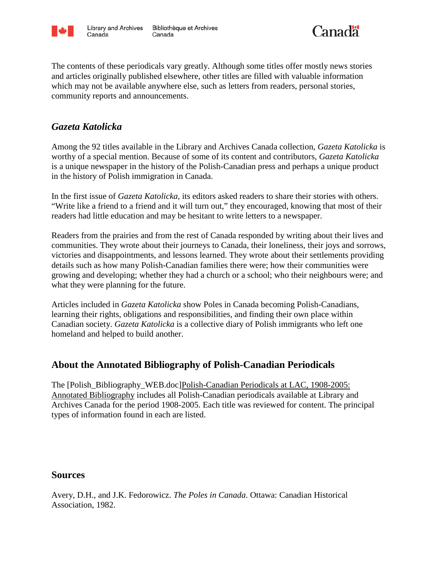



The contents of these periodicals vary greatly. Although some titles offer mostly news stories and articles originally published elsewhere, other titles are filled with valuable information which may not be available anywhere else, such as letters from readers, personal stories, community reports and announcements.

### *Gazeta Katolicka*

Among the 92 titles available in the Library and Archives Canada collection, *Gazeta Katolicka* is worthy of a special mention. Because of some of its content and contributors, *Gazeta Katolicka* is a unique newspaper in the history of the Polish-Canadian press and perhaps a unique product in the history of Polish immigration in Canada.

In the first issue of *Gazeta Katolicka,* its editors asked readers to share their stories with others. "Write like a friend to a friend and it will turn out," they encouraged, knowing that most of their readers had little education and may be hesitant to write letters to a newspaper.

Readers from the prairies and from the rest of Canada responded by writing about their lives and communities. They wrote about their journeys to Canada, their loneliness, their joys and sorrows, victories and disappointments, and lessons learned. They wrote about their settlements providing details such as how many Polish-Canadian families there were; how their communities were growing and developing; whether they had a church or a school; who their neighbours were; and what they were planning for the future.

Articles included in *Gazeta Katolicka* show Poles in Canada becoming Polish-Canadians, learning their rights, obligations and responsibilities, and finding their own place within Canadian society. *Gazeta Katolicka* is a collective diary of Polish immigrants who left one homeland and helped to build another.

## **About the Annotated Bibliography of Polish-Canadian Periodicals**

The [Polish\_Bibliography\_WEB.doc]Polish-Canadian Periodicals at LAC, 1908-2005: Annotated Bibliography includes all Polish-Canadian periodicals available at Library and Archives Canada for the period 1908-2005. Each title was reviewed for content. The principal types of information found in each are listed.

#### **Sources**

Avery, D.H., and J.K. Fedorowicz. *The Poles in Canada*. Ottawa: Canadian Historical Association, 1982.